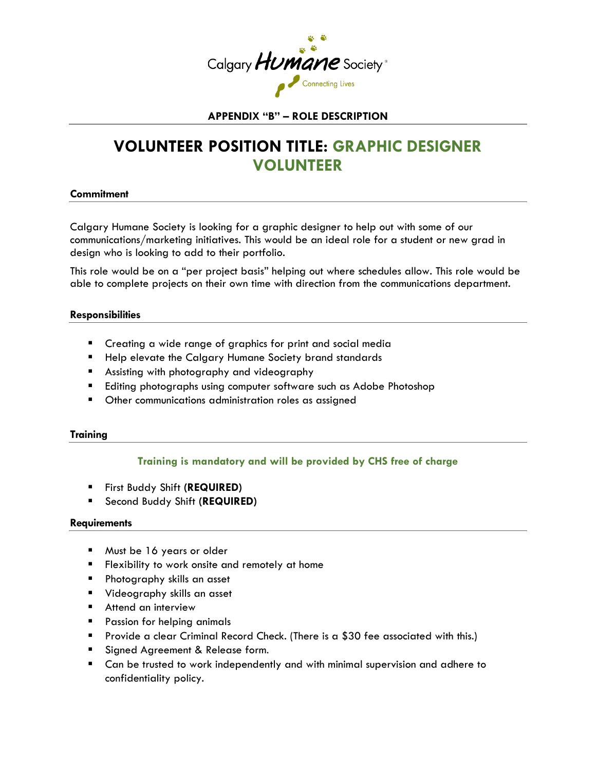

### **APPENDIX "B" – ROLE DESCRIPTION**

# **VOLUNTEER POSITION TITLE: GRAPHIC DESIGNER VOLUNTEER**

#### **Commitment**

Calgary Humane Society is looking for a graphic designer to help out with some of our communications/marketing initiatives. This would be an ideal role for a student or new grad in design who is looking to add to their portfolio.

This role would be on a "per project basis" helping out where schedules allow. This role would be able to complete projects on their own time with direction from the communications department.

#### **Responsibilities**

- **E** Creating a wide range of graphics for print and social media
- **Help elevate the Calgary Humane Society brand standards**
- **Assisting with photography and videography**
- **Editing photographs using computer software such as Adobe Photoshop**
- **Demonmunications administration roles as assigned**

#### **Training**

## **Training is mandatory and will be provided by CHS free of charge**

- First Buddy Shift **(REQUIRED)**
- Second Buddy Shift **(REQUIRED)**

#### **Requirements**

- **Must be 16 years or older**
- **Filexibility to work onsite and remotely at home**
- Photography skills an asset
- **Videography skills an asset**
- **Attend an interview**
- **Passion for helping animals**
- Provide a clear Criminal Record Check. (There is a \$30 fee associated with this.)
- Signed Agreement & Release form.
- Can be trusted to work independently and with minimal supervision and adhere to confidentiality policy.